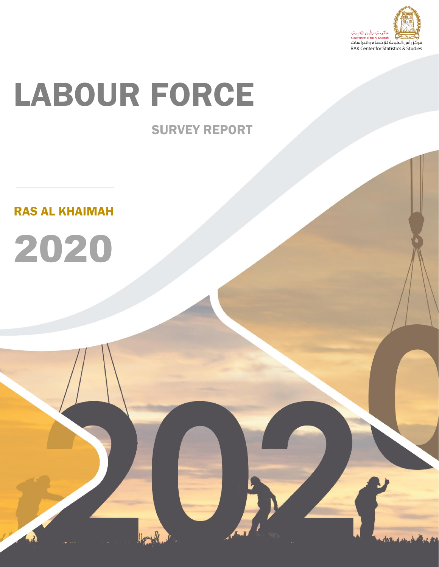

# LABOUR FORCE

## SURVEY REPORT

RAS AL KHAIMAH

2020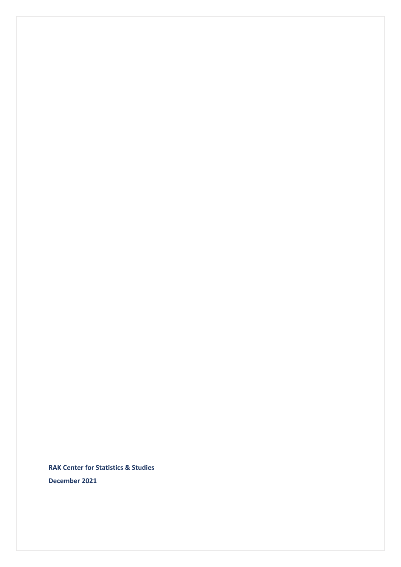**RAK Center for Statistics & Studies December 2021**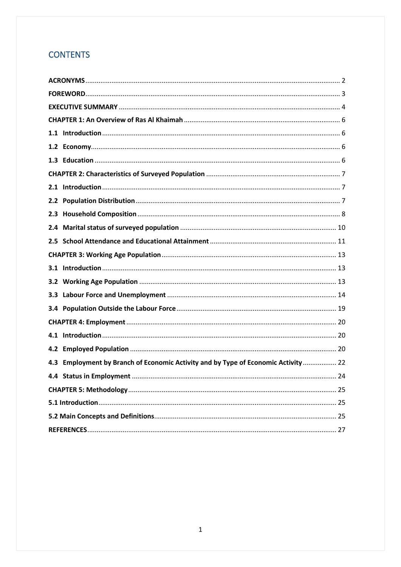## **CONTENTS**

| 4.3 Employment by Branch of Economic Activity and by Type of Economic Activity  22 |
|------------------------------------------------------------------------------------|
|                                                                                    |
|                                                                                    |
|                                                                                    |
|                                                                                    |
|                                                                                    |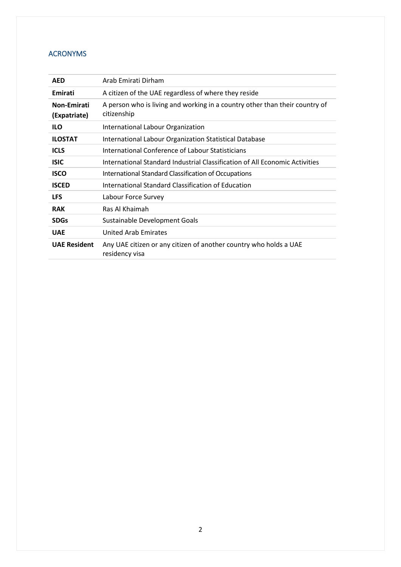### <span id="page-3-0"></span>ACRONYMS

| <b>AED</b>                  | Arab Emirati Dirham                                                                        |
|-----------------------------|--------------------------------------------------------------------------------------------|
| Emirati                     | A citizen of the UAE regardless of where they reside                                       |
| Non-Emirati<br>(Expatriate) | A person who is living and working in a country other than their country of<br>citizenship |
| <b>ILO</b>                  | International Labour Organization                                                          |
| <b>ILOSTAT</b>              | International Labour Organization Statistical Database                                     |
| <b>ICLS</b>                 | International Conference of Labour Statisticians                                           |
| <b>ISIC</b>                 | International Standard Industrial Classification of All Economic Activities                |
| <b>ISCO</b>                 | <b>International Standard Classification of Occupations</b>                                |
| <b>ISCED</b>                | International Standard Classification of Education                                         |
| <b>LFS</b>                  | Labour Force Survey                                                                        |
| <b>RAK</b>                  | Ras Al Khaimah                                                                             |
| <b>SDGs</b>                 | Sustainable Development Goals                                                              |
| <b>UAE</b>                  | <b>United Arab Emirates</b>                                                                |
| <b>UAE Resident</b>         | Any UAE citizen or any citizen of another country who holds a UAE<br>residency visa        |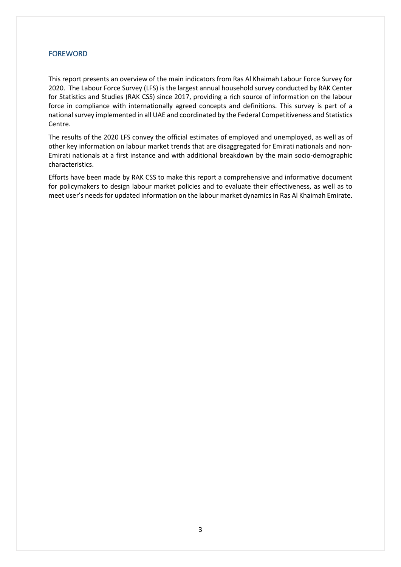#### <span id="page-4-0"></span>FOREWORD

This report presents an overview of the main indicators from Ras Al Khaimah Labour Force Survey for 2020. The Labour Force Survey (LFS) is the largest annual household survey conducted by RAK Center for Statistics and Studies (RAK CSS) since 2017, providing a rich source of information on the labour force in compliance with internationally agreed concepts and definitions. This survey is part of a national survey implemented in all UAE and coordinated by the Federal Competitiveness and Statistics Centre.

The results of the 2020 LFS convey the official estimates of employed and unemployed, as well as of other key information on labour market trends that are disaggregated for Emirati nationals and non-Emirati nationals at a first instance and with additional breakdown by the main socio-demographic characteristics.

Efforts have been made by RAK CSS to make this report a comprehensive and informative document for policymakers to design labour market policies and to evaluate their effectiveness, as well as to meet user's needs for updated information on the labour market dynamicsin Ras Al Khaimah Emirate.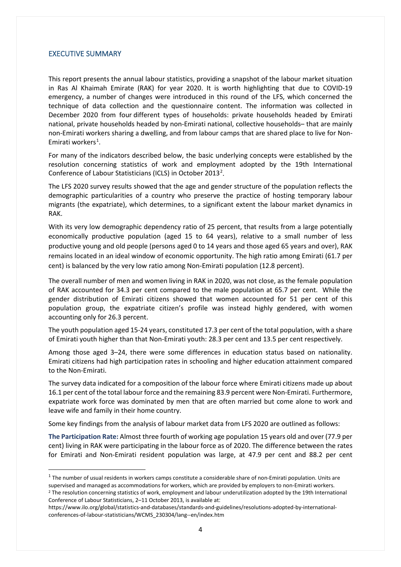#### <span id="page-5-0"></span>EXECUTIVE SUMMARY

This report presents the annual labour statistics, providing a snapshot of the labour market situation in Ras Al Khaimah Emirate (RAK) for year 2020. It is worth highlighting that due to COVID-19 emergency, a number of changes were introduced in this round of the LFS, which concerned the technique of data collection and the questionnaire content. The information was collected in December 2020 from four different types of households: private households headed by Emirati national, private households headed by non-Emirati national, collective households– that are mainly non-Emirati workers sharing a dwelling, and from labour camps that are shared place to live for Non-Emirati workers<sup>[1](#page-5-1)</sup>.

For many of the indicators described below, the basic underlying concepts were established by the resolution concerning statistics of work and employment adopted by the 19th International Conference of Labour Statisticians (ICLS) in October [2](#page-5-2)013<sup>2</sup>.

The LFS 2020 survey results showed that the age and gender structure of the population reflects the demographic particularities of a country who preserve the practice of hosting temporary labour migrants (the expatriate), which determines, to a significant extent the labour market dynamics in RAK.

With its very low demographic dependency ratio of 25 percent, that results from a large potentially economically productive population (aged 15 to 64 years), relative to a small number of less productive young and old people (persons aged 0 to 14 years and those aged 65 years and over), RAK remains located in an ideal window of economic opportunity. The high ratio among Emirati (61.7 per cent) is balanced by the very low ratio among Non-Emirati population (12.8 percent).

The overall number of men and women living in RAK in 2020, was not close, as the female population of RAK accounted for 34.3 per cent compared to the male population at 65.7 per cent. While the gender distribution of Emirati citizens showed that women accounted for 51 per cent of this population group, the expatriate citizen's profile was instead highly gendered, with women accounting only for 26.3 percent.

The youth population aged 15-24 years, constituted 17.3 per cent of the total population, with a share of Emirati youth higher than that Non-Emirati youth: 28.3 per cent and 13.5 per cent respectively.

Among those aged 3–24, there were some differences in education status based on nationality. Emirati citizens had high participation rates in schooling and higher education attainment compared to the Non-Emirati.

The survey data indicated for a composition of the labour force where Emirati citizens made up about 16.1 per cent of the total labour force and the remaining 83.9 percent were Non-Emirati. Furthermore, expatriate work force was dominated by men that are often married but come alone to work and leave wife and family in their home country.

Some key findings from the analysis of labour market data from LFS 2020 are outlined as follows:

**The Participation Rate:** Almost three fourth of working age population 15 years old and over (77.9 per cent) living in RAK were participating in the labour force as of 2020. The difference between the rates for Emirati and Non-Emirati resident population was large, at 47.9 per cent and 88.2 per cent

<span id="page-5-1"></span> $1$  The number of usual residents in workers camps constitute a considerable share of non-Emirati population. Units are supervised and managed as accommodations for workers, which are provided by employers to non-Emirati workers. <sup>2</sup> The resolution concerning statistics of work, employment and labour underutilization adopted by the 19th International Conference of Labour Statisticians, 2–11 October 2013, is available at:

<span id="page-5-2"></span>https://www.ilo.org/global/statistics-and-databases/standards-and-guidelines/resolutions-adopted-by-internationalconferences-of-labour-statisticians/WCMS\_230304/lang--en/index.htm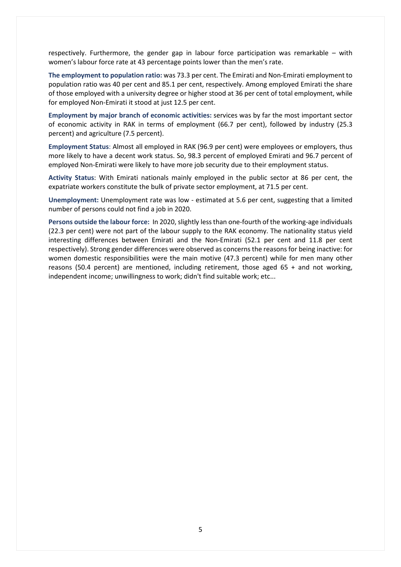respectively. Furthermore, the gender gap in labour force participation was remarkable – with women's labour force rate at 43 percentage points lower than the men's rate.

**The employment to population ratio:** was 73.3 per cent. The Emirati and Non-Emirati employment to population ratio was 40 per cent and 85.1 per cent, respectively. Among employed Emirati the share of those employed with a university degree or higher stood at 36 per cent of total employment, while for employed Non-Emirati it stood at just 12.5 per cent.

**Employment by major branch of economic activities:** services was by far the most important sector of economic activity in RAK in terms of employment (66.7 per cent), followed by industry (25.3 percent) and agriculture (7.5 percent).

**Employment Status**: Almost all employed in RAK (96.9 per cent) were employees or employers, thus more likely to have a decent work status. So, 98.3 percent of employed Emirati and 96.7 percent of employed Non-Emirati were likely to have more job security due to their employment status.

**Activity Status**: With Emirati nationals mainly employed in the public sector at 86 per cent, the expatriate workers constitute the bulk of private sector employment, at 71.5 per cent.

**Unemployment:** Unemployment rate was low - estimated at 5.6 per cent, suggesting that a limited number of persons could not find a job in 2020.

**Persons outside the labour force:** In 2020, slightly less than one-fourth of the working-age individuals (22.3 per cent) were not part of the labour supply to the RAK economy. The nationality status yield interesting differences between Emirati and the Non-Emirati (52.1 per cent and 11.8 per cent respectively). Strong gender differences were observed as concerns the reasons for being inactive: for women domestic responsibilities were the main motive (47.3 percent) while for men many other reasons (50.4 percent) are mentioned, including retirement, those aged 65 + and not working, independent income; unwillingness to work; didn't find suitable work; etc...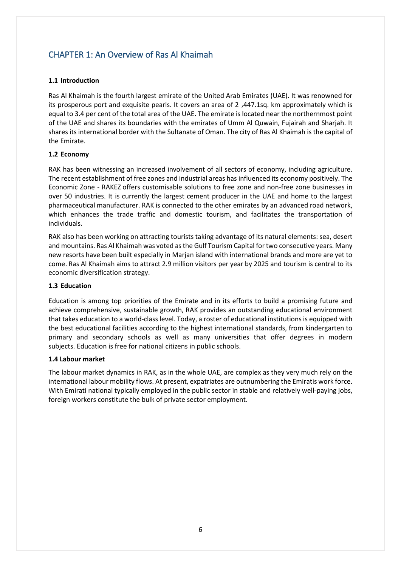## <span id="page-7-0"></span>CHAPTER 1: An Overview of Ras Al Khaimah

#### <span id="page-7-1"></span>**1.1 Introduction**

Ras Al Khaimah is the fourth largest emirate of the United Arab Emirates (UAE). It was renowned for its prosperous port and exquisite pearls. It covers an area of 2 ٫447.1sq. km approximately which is equal to 3.4 per cent of the total area of the UAE. The emirate is located near the northernmost point of the UAE and shares its boundaries with the emirates of Umm Al Quwain, Fujairah and Sharjah. It shares its international border with the Sultanate of Oman. The city of Ras Al Khaimah is the capital of the Emirate.

#### <span id="page-7-2"></span>**1.2 Economy**

RAK has been witnessing an increased involvement of all sectors of economy, including agriculture. The recent establishment of free zones and industrial areas has influenced its economy positively[. The](https://rakez.com/)  [Economic Zone](https://rakez.com/) - RAKEZ offers customisable solutions to free zone and non-free zone businesses in over 50 industries. It is currently the largest cement producer in the UAE and home to the largest pharmaceutical manufacturer. RAK is connected to the other emirates by an advanced road network, which enhances the trade traffic and domestic tourism, and facilitates the transportation of individuals.

RAK also has been working on attracting tourists taking advantage of its natural elements: sea, desert and mountains. Ras Al Khaimah was voted as the Gulf Tourism Capital for two consecutive years. Many new resorts have been built especially in Marjan island with international brands and more are yet to come. Ras Al Khaimah aims to attract 2.9 million visitors per year by 2025 and tourism is central to its economic diversification strategy.

#### <span id="page-7-3"></span>**1.3 Education**

Education is among top priorities of the Emirate and in its efforts to build a promising future and achieve comprehensive, sustainable growth, RAK provides an outstanding educational environment that takes education to a world-class level. Today, a roster of educational institutions is equipped with the best educational facilities according to the highest international standards, from kindergarten to primary and secondary schools as well as many universities that offer degrees in modern subjects. Education is free for national citizens in public schools.

#### **1.4 Labour market**

The labour market dynamics in RAK, as in the whole UAE, are complex as they very much rely on the international labour mobility flows. At present, expatriates are outnumbering the Emiratis work force. With Emirati national typically employed in the public sector in stable and relatively well-paying jobs, foreign workers constitute the bulk of private sector employment.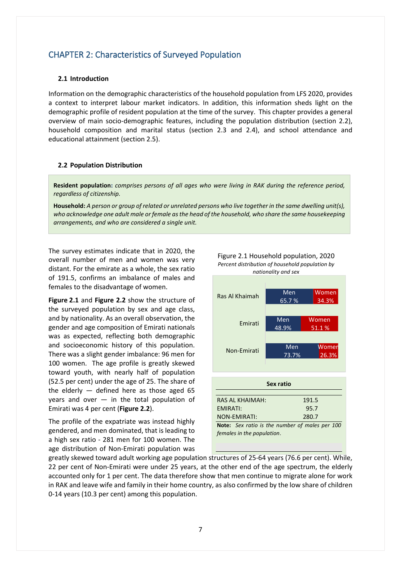## <span id="page-8-0"></span>CHAPTER 2: Characteristics of Surveyed Population

#### <span id="page-8-1"></span>**2.1 Introduction**

Information on the demographic characteristics of the household population from LFS 2020, provides a context to interpret labour market indicators. In addition, this information sheds light on the demographic profile of resident population at the time of the survey. This chapter provides a general overview of main socio-demographic features, including the population distribution (section 2.2), household composition and marital status (section 2.3 and 2.4), and school attendance and educational attainment (section 2.5).

#### <span id="page-8-2"></span>**2.2 Population Distribution**

**Resident population:** *comprises persons of all ages who were living in RAK during the reference period, regardless of [citizenship.](https://ilostat.ilo.org/glossary/citizenship/)*

**Household:** *A person or group of related or unrelated persons who live together in the same dwelling unit(s), who acknowledge one adult male or female as the head of the household, who share the same housekeeping arrangements, and who are considered a single unit.*

The survey estimates indicate that in 2020, the overall number of men and women was very distant. For the emirate as a whole, the sex ratio of 191.5, confirms an imbalance of males and females to the disadvantage of women.

**Figure 2.1** and **Figure 2.2** show the structure of the surveyed population by sex and age class, and by nationality. As an overall observation, the gender and age composition of Emirati nationals was as expected, reflecting both demographic and socioeconomic history of this population. There was a slight gender imbalance: 96 men for 100 women. The age profile is greatly skewed toward youth, with nearly half of population (52.5 per cent) under the age of 25. The share of the elderly  $-$  defined here as those aged 65 years and over  $-$  in the total population of Emirati was 4 per cent (**Figure 2.2**).

The profile of the expatriate was instead highly gendered, and men dominated, that is leading to a high sex ratio - 281 men for 100 women. The age distribution of Non-Emirati population was



Figure 2.1 Household population, 2020 *Percent distribution of household population by nationality and sex*

*females in the population*.

greatly skewed toward adult working age population structures of 25-64 years (76.6 per cent). While, 22 per cent of Non-Emirati were under 25 years, at the other end of the age spectrum, the elderly accounted only for 1 per cent. The data therefore show that men continue to migrate alone for work in RAK and leave wife and family in their home country, as also confirmed by the low share of children 0-14 years (10.3 per cent) among this population.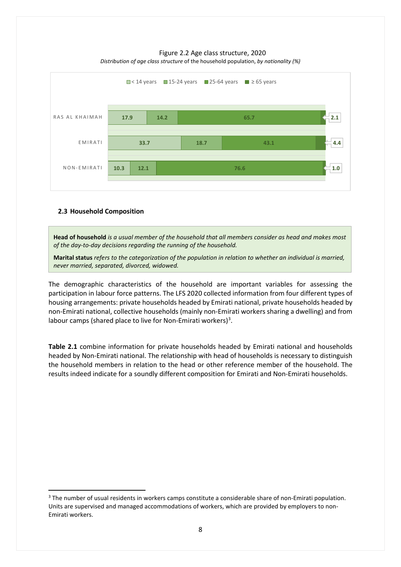

Figure 2.2 Age class structure, 2020 *Distribution of age class structure* of the household population, *by nationality (%)*

#### <span id="page-9-0"></span>**2.3 Household Composition**

**Head of household** *is a usual member of the household that all members consider as head and makes most of the day-to-day decisions regarding the running of the household.*

**Marital status** *refers to the categorization of the population in relation to whether an individual is married, never married, separated, divorced, widowed.*

The demographic characteristics of the household are important variables for assessing the participation in labour force patterns. The LFS 2020 collected information from four different types of housing arrangements: private households headed by Emirati national, private households headed by non-Emirati national, collective households (mainly non-Emirati workers sharing a dwelling) and from labour camps (shared place to live for Non-Emirati workers)<sup>[3](#page-9-1)</sup>.

**Table 2.1** combine information for private households headed by Emirati national and households headed by Non-Emirati national. The relationship with head of households is necessary to distinguish the household members in relation to the head or other reference member of the household. The results indeed indicate for a soundly different composition for Emirati and Non-Emirati households.

<span id="page-9-1"></span><sup>&</sup>lt;sup>3</sup> The number of usual residents in workers camps constitute a considerable share of non-Emirati population. Units are supervised and managed accommodations of workers, which are provided by employers to non-Emirati workers.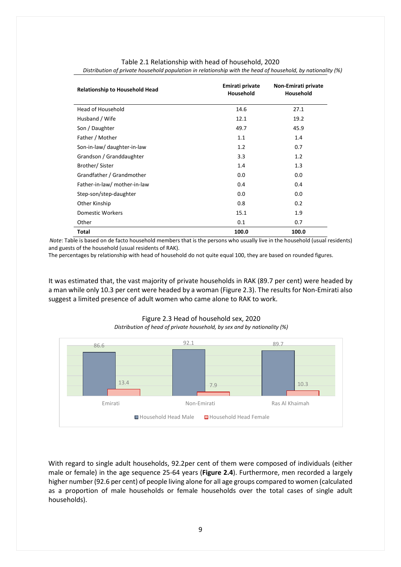| <b>Relationship to Household Head</b> | Emirati private<br>Household | Non-Emirati private<br>Household |
|---------------------------------------|------------------------------|----------------------------------|
| Head of Household                     | 14.6                         | 27.1                             |
| Husband / Wife                        | 12.1                         | 19.2                             |
| Son / Daughter                        | 49.7                         | 45.9                             |
| Father / Mother                       | 1.1                          | 1.4                              |
| Son-in-law/ daughter-in-law           | 1.2                          | 0.7                              |
| Grandson / Granddaughter              | 3.3                          | 1.2                              |
| Brother/Sister                        | 1.4                          | 1.3                              |
| Grandfather / Grandmother             | 0.0                          | 0.0                              |
| Father-in-law/ mother-in-law          | 0.4                          | 0.4                              |
| Step-son/step-daughter                | 0.0                          | 0.0                              |
| Other Kinship                         | 0.8                          | 0.2                              |
| <b>Domestic Workers</b>               | 15.1                         | 1.9                              |
| Other                                 | 0.1                          | 0.7                              |
| Total                                 | 100.0                        | 100.0                            |

Table 2.1 Relationship with head of household, 2020 *Distribution of private household population in relationship with the head of household, by nationality (%)*

 *Note*: Table is based on de facto household members that is the persons who usually live in the household (usual residents) and guests of the household (usual residents of RAK).

The percentages by relationship with head of household do not quite equal 100, they are based on rounded figures.

It was estimated that, the vast majority of private households in RAK (89.7 per cent) were headed by a man while only 10.3 per cent were headed by a woman (Figure 2.3). The results for Non-Emirati also suggest a limited presence of adult women who came alone to RAK to work.



Figure 2.3 Head of household sex, 2020 *Distribution of head of private household, by sex and by nationality (%)*

With regard to single adult households, 92.2per cent of them were composed of individuals (either male or female) in the age sequence 25-64 years (**Figure 2.4**). Furthermore, men recorded a largely higher number (92.6 per cent) of people living alone for all age groups compared to women (calculated as a proportion of male households or female households over the total cases of single adult households).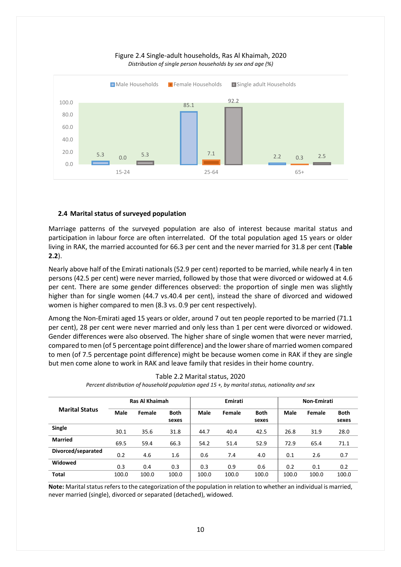

#### Figure 2.4 Single-adult households, Ras Al Khaimah, 2020 *Distribution of single person households by sex and age (%)*

#### <span id="page-11-0"></span>**2.4 Marital status of surveyed population**

Marriage patterns of the surveyed population are also of interest because marital status and participation in labour force are often interrelated. Of the total population aged 15 years or older living in RAK, the married accounted for 66.3 per cent and the never married for 31.8 per cent (**Table 2.2**).

Nearly above half of the Emirati nationals (52.9 per cent) reported to be married, while nearly 4 in ten persons (42.5 per cent) were never married, followed by those that were divorced or widowed at 4.6 per cent. There are some gender differences observed: the proportion of single men was slightly higher than for single women (44.7 vs.40.4 per cent), instead the share of divorced and widowed women is higher compared to men (8.3 vs. 0.9 per cent respectively).

Among the Non-Emirati aged 15 years or older, around 7 out ten people reported to be married (71.1 per cent), 28 per cent were never married and only less than 1 per cent were divorced or widowed. Gender differences were also observed. The higher share of single women that were never married, compared to men (of 5 percentage point difference) and the lower share of married women compared to men (of 7.5 percentage point difference) might be because women come in RAK if they are single but men come alone to work in RAK and leave family that resides in their home country.

|                       |       | Ras Al Khaimah |             |       | Emirati |             | Non-Emirati |        |             |
|-----------------------|-------|----------------|-------------|-------|---------|-------------|-------------|--------|-------------|
| <b>Marital Status</b> | Male  | Female         | <b>Both</b> | Male  | Female  | <b>Both</b> | Male        | Female | <b>Both</b> |
|                       |       |                | sexes       |       |         | sexes       |             |        | sexes       |
| Single                | 30.1  | 35.6           | 31.8        | 44.7  | 40.4    | 42.5        | 26.8        | 31.9   | 28.0        |
| <b>Married</b>        | 69.5  | 59.4           | 66.3        | 54.2  | 51.4    | 52.9        | 72.9        | 65.4   | 71.1        |
| Divorced/separated    | 0.2   | 4.6            | 1.6         | 0.6   | 7.4     | 4.0         | 0.1         | 2.6    | 0.7         |
| Widowed               | 0.3   | 0.4            | 0.3         | 0.3   | 0.9     | 0.6         | 0.2         | 0.1    | 0.2         |
| <b>Total</b>          | 100.0 | 100.0          | 100.0       | 100.0 | 100.0   | 100.0       | 100.0       | 100.0  | 100.0       |

Table 2.2 Marital status, 2020 *Percent distribution of household population aged 15 +, by marital status, nationality and sex*

**Note:** Marital status refers to the categorization of the population in relation to whether an individual is married, never married (single), divorced or separated (detached), widowed.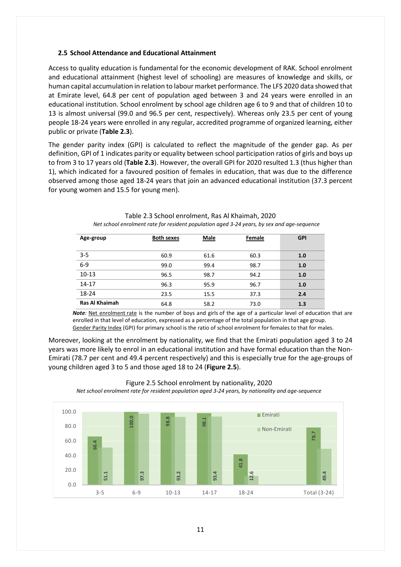#### <span id="page-12-0"></span>**2.5 School Attendance and Educational Attainment**

Access to quality education is fundamental for the economic development of RAK. School enrolment and educational attainment (highest level of schooling) are measures of knowledge and skills, or human capital accumulation in relation to labour market performance. The LFS 2020 data showed that at Emirate level, 64.8 per cent of population aged between 3 and 24 years were enrolled in an educational institution. School enrolment by school age children age 6 to 9 and that of children 10 to 13 is almost universal (99.0 and 96.5 per cent, respectively). Whereas only 23.5 per cent of young people 18-24 years were enrolled in any regular, accredited programme of organized learning, either public or private (**Table 2.3**).

The gender parity index (GPI) is calculated to reflect the magnitude of the gender gap. As per definition, GPI of 1 indicates parity or equality between school participation ratios of girls and boys up to from 3 to 17 years old (Table 2.3). However, the overall GPI for 2020 resulted 1.3 (thus higher than 1), which indicated for a favoured position of females in education, that was due to the difference observed among those aged 18-24 years that join an advanced educational institution (37.3 percent for young women and 15.5 for young men).

| Age-group      | <b>Both sexes</b> | <b>Male</b> | Female | <b>GPI</b> |
|----------------|-------------------|-------------|--------|------------|
|                |                   |             |        |            |
| $3 - 5$        | 60.9              | 61.6        | 60.3   | 1.0        |
| $6-9$          | 99.0              | 99.4        | 98.7   | 1.0        |
| $10 - 13$      | 96.5              | 98.7        | 94.2   | 1.0        |
|                |                   |             |        |            |
| 14-17          | 96.3              | 95.9        | 96.7   | 1.0        |
| 18-24          | 23.5              | 15.5        | 37.3   | 2.4        |
| Ras Al Khaimah | 64.8              | 58.2        | 73.0   | 1.3        |
|                |                   |             |        |            |

Table 2.3 School enrolment, Ras Al Khaimah, 2020 *Net school enrolment rate for resident population aged 3-24 years, by sex and age-sequence*

*Note*: Net enrolment rate is the number of boys and girls of the age of a particular level of education that are enrolled in that level of education, expressed as a percentage of the total population in that age group. Gender Parity Index (GPI) for primary school is the ratio of school enrolment for females to that for males.

Moreover, looking at the enrolment by nationality, we find that the Emirati population aged 3 to 24 years was more likely to enrol in an educational institution and have formal education than the Non-Emirati (78.7 per cent and 49.4 percent respectively) and this is especially true for the age-groups of young children aged 3 to 5 and those aged 18 to 24 (**Figure 2.5**).



Figure 2.5 School enrolment by nationality, 2020

*Net school enrolment rate for resident population aged 3-24 years, by nationality and age-sequence*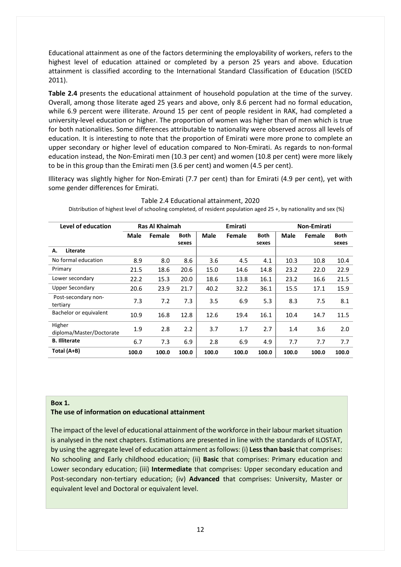Educational attainment as one of the factors determining the employability of workers, refers to the highest level of education attained or completed by a person 25 years and above. Education attainment is classified according to the International Standard Classification of Education (ISCED 2011).

**Table 2.4** presents the educational attainment of household population at the time of the survey. Overall, among those literate aged 25 years and above, only 8.6 percent had no formal education, while 6.9 percent were illiterate. Around 15 per cent of people resident in RAK, had completed a university-level education or higher. The proportion of women was higher than of men which is true for both nationalities. Some differences attributable to nationality were observed across all levels of education. It is interesting to note that the proportion of Emirati were more prone to complete an upper secondary or higher level of education compared to Non-Emirati. As regards to non-formal education instead, the Non-Emirati men (10.3 per cent) and women (10.8 per cent) were more likely to be in this group than the Emirati men (3.6 per cent) and women (4.5 per cent).

Illiteracy was slightly higher for Non-Emirati (7.7 per cent) than for Emirati (4.9 per cent), yet with some gender differences for Emirati.

| Level of education                 |             | Ras Al Khaimah |                      |             | Emirati |                      | Non-Emirati |        |                      |  |
|------------------------------------|-------------|----------------|----------------------|-------------|---------|----------------------|-------------|--------|----------------------|--|
|                                    | <b>Male</b> | Female         | <b>Both</b><br>sexes | <b>Male</b> | Female  | <b>Both</b><br>sexes | <b>Male</b> | Female | <b>Both</b><br>sexes |  |
| Literate<br>А.                     |             |                |                      |             |         |                      |             |        |                      |  |
| No formal education                | 8.9         | 8.0            | 8.6                  | 3.6         | 4.5     | 4.1                  | 10.3        | 10.8   | 10.4                 |  |
| Primary                            | 21.5        | 18.6           | 20.6                 | 15.0        | 14.6    | 14.8                 | 23.2        | 22.0   | 22.9                 |  |
| Lower secondary                    | 22.2        | 15.3           | 20.0                 | 18.6        | 13.8    | 16.1                 | 23.2        | 16.6   | 21.5                 |  |
| <b>Upper Secondary</b>             | 20.6        | 23.9           | 21.7                 | 40.2        | 32.2    | 36.1                 | 15.5        | 17.1   | 15.9                 |  |
| Post-secondary non-<br>tertiary    | 7.3         | 7.2            | 7.3                  | 3.5         | 6.9     | 5.3                  | 8.3         | 7.5    | 8.1                  |  |
| Bachelor or equivalent             | 10.9        | 16.8           | 12.8                 | 12.6        | 19.4    | 16.1                 | 10.4        | 14.7   | 11.5                 |  |
| Higher<br>diploma/Master/Doctorate | 1.9         | 2.8            | 2.2                  | 3.7         | 1.7     | 2.7                  | 1.4         | 3.6    | 2.0                  |  |
| <b>B.</b> Illiterate               | 6.7         | 7.3            | 6.9                  | 2.8         | 6.9     | 4.9                  | 7.7         | 7.7    | 7.7                  |  |
| Total (A+B)                        | 100.0       | 100.0          | 100.0                | 100.0       | 100.0   | 100.0                | 100.0       | 100.0  | 100.0                |  |

#### Table 2.4 Educational attainment, 2020

Distribution of highest level of schooling completed, of resident population aged 25 +, by nationality and sex (%)

#### **Box 1.**

#### **The use of information on educational attainment**

The impact of the level of educational attainment of the workforce in their labour market situation is analysed in the next chapters. Estimations are presented in line with the standards of ILOSTAT, by using the aggregate level of education attainment as follows: (i) **Less than basic** that comprises: No schooling and Early childhood education; (ii) **Basic** that comprises: Primary education and Lower secondary education; (iii) **Intermediate** that comprises: Upper secondary education and Post-secondary non-tertiary education; (iv) **Advanced** that comprises: University, Master or equivalent level and Doctoral or equivalent level.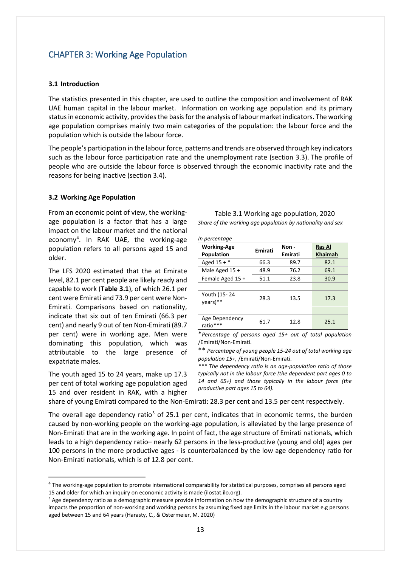## <span id="page-14-0"></span>CHAPTER 3: Working Age Population

#### <span id="page-14-1"></span>**3.1 Introduction**

The statistics presented in this chapter, are used to outline the composition and involvement of RAK UAE human capital in the labour market. Information on working age population and its primary status in economic activity, provides the basis for the analysis of labour market indicators. The working age population comprises mainly two main categories of the population: the labour force and the population which is outside the labour force.

The people's participation in the labour force, patterns and trends are observed through key indicators such as the labour force participation rate and the unemployment rate (section 3.3). The profile of people who are outside the labour force is observed through the economic inactivity rate and the reasons for being inactive (section 3.4).

#### <span id="page-14-2"></span>**3.2 Working Age Population**

From an economic point of view, the workingage population is a factor that has a large impact on the labour market and the national economy[4](#page-14-3) . In RAK UAE, the working-age population refers to all persons aged 15 and older.

The LFS 2020 estimated that the at Emirate level, 82.1 per cent people are likely ready and capable to work (**Table 3.1**), of which 26.1 per cent were Emirati and 73.9 per cent were Non-Emirati. Comparisons based on nationality, indicate that six out of ten Emirati (66.3 per cent) and nearly 9 out of ten Non-Emirati (89.7 per cent) were in working age. Men were dominating this population, which was attributable to the large presence of expatriate males.

The youth aged 15 to 24 years, make up 17.3 per cent of total working age population aged 15 and over resident in RAK, with a higher

| Table 3.1 Working age population, 2020                     |
|------------------------------------------------------------|
| Share of the working age population by nationality and sex |

*In percentage*

| <b>Working-Age</b> | Emirati      | Non -        | <b>Ras Al</b>  |  |  |
|--------------------|--------------|--------------|----------------|--|--|
| <b>Population</b>  |              | Emirati      | <b>Khaimah</b> |  |  |
| Aged $15 +$ *      | 66.3         | 89.7         | 82.1           |  |  |
| Male Aged 15 +     | 48.9         | 76.2         | 69.1           |  |  |
| Female Aged 15 +   | 51.1         | 23.8         | 30.9           |  |  |
|                    |              |              |                |  |  |
| Youth (15-24       |              |              |                |  |  |
| years)**           |              |              |                |  |  |
|                    |              |              |                |  |  |
| Age Dependency     |              |              |                |  |  |
| ratio***           |              |              |                |  |  |
|                    | 28.3<br>61.7 | 13.5<br>12.8 | 17.3<br>25.1   |  |  |

\**Percentage of persons aged 15+ out of total population* /Emirati/Non-Emirati.

\*\* *Percentage of young people 15-24 out of total working age population 15+,* /Emirati/Non-Emirati.

*\*\*\* The dependency ratio is an age-population ratio of those typically not in the labour force (the dependent part ages 0 to 14 and 65+) and those typically in the labour force (the productive part ages 15 to 64).*

share of young Emirati compared to the Non-Emirati: 28.3 per cent and 13.5 per cent respectively.

The overall age dependency ratio<sup>[5](#page-14-4)</sup> of 25.1 per cent, indicates that in economic terms, the burden caused by non-working people on the working-age population, is alleviated by the large presence of Non-Emirati that are in the working age. In point of fact, the age structure of Emirati nationals, which leads to a high dependency ratio– nearly 62 persons in the less-productive (young and old) ages per 100 persons in the more productive ages - is counterbalanced by the low age dependency ratio for Non-Emirati nationals, which is of 12.8 per cent.

<span id="page-14-3"></span><sup>&</sup>lt;sup>4</sup> The working-age population to promote international comparability for statistical purposes, comprises all persons aged 15 and older for which an inquiry on economic activity is made (ilostat.ilo.org).

<span id="page-14-4"></span><sup>5</sup> Age dependency ratio as a demographic measure provide information on how the demographic structure of a country impacts the proportion of non-working and working persons by assuming fixed age limits in the labour market e.g persons aged between 15 and 64 years (Harasty, C., & Ostermeier, M. 2020)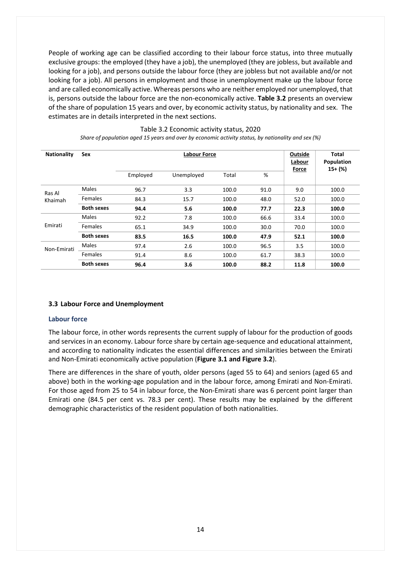People of working age can be classified according to their labour force status, into three mutually exclusive groups: the employed (they have a job), the unemployed (they are jobless, but available and looking for a job), and persons outside the labour force (they are jobless but not available and/or not looking for a job). All persons in employment and those in unemployment make up the labour force and are called economically active. Whereas persons who are neither employed nor unemployed, that is, persons outside the labour force are the non-economically active. **Table 3.2** presents an overview of the share of population 15 years and over, by economic activity status, by nationality and sex. The estimates are in details interpreted in the next sections.

| <b>Nationality</b> | Sex               |          | Outside<br>Labour<br>Force | <b>Total</b><br>Population<br>$15+$ (%) |      |      |       |
|--------------------|-------------------|----------|----------------------------|-----------------------------------------|------|------|-------|
|                    |                   | Employed | Unemployed                 | Total                                   | %    |      |       |
| Ras Al             | Males             | 96.7     | 3.3                        | 100.0                                   | 91.0 | 9.0  | 100.0 |
| Khaimah            | <b>Females</b>    | 84.3     | 15.7                       | 100.0                                   | 48.0 | 52.0 | 100.0 |
|                    | <b>Both sexes</b> | 94.4     | 5.6                        | 100.0                                   | 77.7 | 22.3 | 100.0 |
|                    | Males             | 92.2     | 7.8                        | 100.0                                   | 66.6 | 33.4 | 100.0 |
| Emirati            | <b>Females</b>    | 65.1     | 34.9                       | 100.0                                   | 30.0 | 70.0 | 100.0 |
|                    | <b>Both sexes</b> | 83.5     | 16.5                       | 100.0                                   | 47.9 | 52.1 | 100.0 |
| Non-Emirati        | Males             | 97.4     | 2.6                        | 100.0                                   | 96.5 | 3.5  | 100.0 |
|                    | <b>Females</b>    | 91.4     | 8.6                        | 100.0                                   | 61.7 | 38.3 | 100.0 |
|                    | <b>Both sexes</b> | 96.4     | 3.6                        | 100.0                                   | 88.2 | 11.8 | 100.0 |

#### Table 3.2 Economic activity status, 2020

*Share of population aged 15 years and over by economic activity status, by nationality and sex (%)*

#### <span id="page-15-0"></span>**3.3 Labour Force and Unemployment**

#### **Labour force**

The labour force, in other words represents the current supply of labour for the production of goods and services in an economy. Labour force share by certain age-sequence and educational attainment, and according to nationality indicates the essential differences and similarities between the Emirati and Non-Emirati economically active population (**Figure 3.1 and Figure 3.2**).

There are differences in the share of youth, older persons (aged 55 to 64) and seniors (aged 65 and above) both in the working-age population and in the labour force, among Emirati and Non-Emirati. For those aged from 25 to 54 in labour force, the Non-Emirati share was 6 percent point larger than Emirati one (84.5 per cent vs. 78.3 per cent). These results may be explained by the different demographic characteristics of the resident population of both nationalities.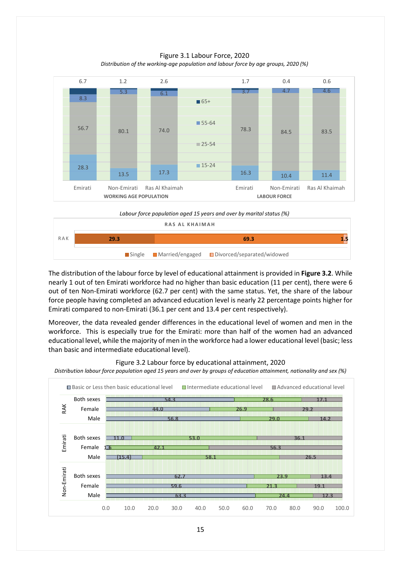Figure 3.1 Labour Force, 2020 *Distribution of the working-age population and labour force by age groups, 2020 (%)*



*Labour force population aged 15 years and over by marital status (%)*



The distribution of the labour force by level of educational attainment is provided in **Figure 3.2**. While nearly 1 out of ten Emirati workforce had no higher than basic education (11 per cent), there were 6 out of ten Non-Emirati workforce (62.7 per cent) with the same status. Yet, the share of the labour force people having completed an advanced education level is nearly 22 percentage points higher for Emirati compared to non-Emirati (36.1 per cent and 13.4 per cent respectively).

Moreover, the data revealed gender differences in the educational level of women and men in the workforce. This is especially true for the Emirati: more than half of the women had an advanced educational level, while the majority of men in the workforce had a lower educational level (basic; less than basic and intermediate educational level).



Figure 3.2 Labour force by educational attainment, 2020

*Distribution labour force population aged 15 years and over by groups of education attainment, nationality and sex (%)*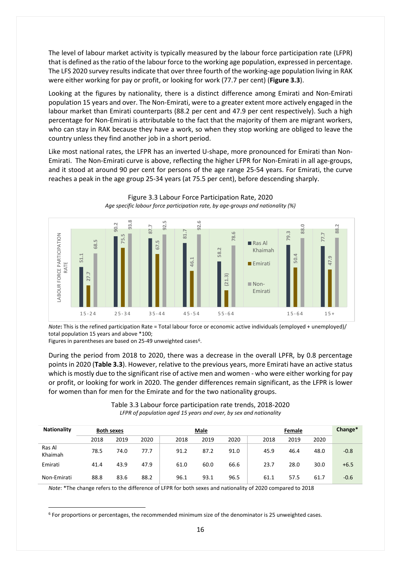The level of labour market activity is typically measured by the labour force participation rate (LFPR) that is defined as the ratio of the labour force to the working age population, expressed in percentage. The LFS 2020 survey results indicate that over three fourth of the working-age population living in RAK were either working for pay or profit, or looking for work (77.7 per cent) (**Figure 3.3**).

Looking at the figures by nationality, there is a distinct difference among Emirati and Non-Emirati population 15 years and over. The Non-Emirati, were to a greater extent more actively engaged in the labour market than Emirati counterparts (88.2 per cent and 47.9 per cent respectively). Such a high percentage for Non-Emirati is attributable to the fact that the majority of them are migrant workers, who can stay in RAK because they have a work, so when they stop working are obliged to leave the country unless they find another job in a short period.

Like most national rates, the LFPR has an inverted U-shape, more pronounced for Emirati than Non-Emirati. The Non-Emirati curve is above, reflecting the higher LFPR for Non-Emirati in all age-groups, and it stood at around 90 per cent for persons of the age range 25-54 years. For Emirati, the curve reaches a peak in the age group 25-34 years (at 75.5 per cent), before descending sharply.



Figure 3.3 Labour Force Participation Rate, 2020 *Age specific labour force participation rate, by age-groups and nationality (%)*

*Note***:** This is the refined participation Rate = Total labour force or economic active individuals (employed + unemployed)/ total population 15 years and above \*100;

Figures in parentheses are based on 25-49 unweighted cases<sup>[6](#page-17-0)</sup>.

During the period from 2018 to 2020, there was a decrease in the overall LPFR, by 0.8 percentage points in 2020 (**Table 3.3**). However, relative to the previous years, more Emirati have an active status which is mostly due to the significant rise of active men and women - who were either working for pay or profit, or looking for work in 2020. The gender differences remain significant, as the LFPR is lower for women than for men for the Emirate and for the two nationality groups.

| Table 3.3 Labour force participation rate trends, 2018-2020       |  |
|-------------------------------------------------------------------|--|
| LFPR of population aged 15 years and over, by sex and nationality |  |

| <b>Nationality</b> | <b>Both sexes</b> |      |      |      | Male |      |      | Change* |      |        |
|--------------------|-------------------|------|------|------|------|------|------|---------|------|--------|
|                    | 2018              | 2019 | 2020 | 2018 | 2019 | 2020 | 2018 | 2019    | 2020 |        |
| Ras Al<br>Khaimah  | 78.5              | 74.0 | 77.7 | 91.2 | 87.2 | 91.0 | 45.9 | 46.4    | 48.0 | $-0.8$ |
| Emirati            | 41.4              | 43.9 | 47.9 | 61.0 | 60.0 | 66.6 | 23.7 | 28.0    | 30.0 | $+6.5$ |
| Non-Emirati        | 88.8              | 83.6 | 88.2 | 96.1 | 93.1 | 96.5 | 61.1 | 57.5    | 61.7 | $-0.6$ |

*Note*: \*The change refers to the difference of LFPR for both sexes and nationality of 2020 compared to 2018

<span id="page-17-0"></span>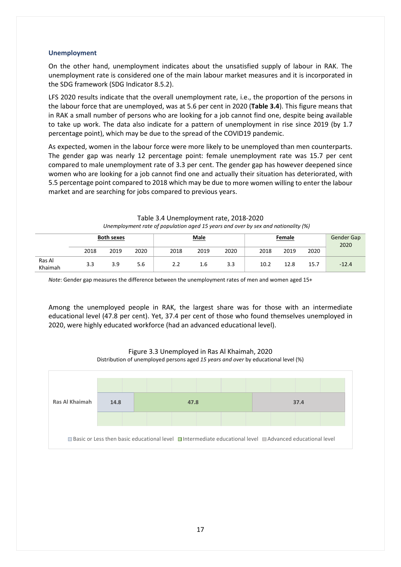#### **Unemployment**

On the other hand, unemployment indicates about the unsatisfied supply of labour in RAK. The unemployment rate is considered one of the main labour market measures and it is incorporated in the SDG framework (SDG Indicator 8.5.2).

LFS 2020 results indicate that the overall unemployment rate, i.e., the proportion of the persons in the labour force that are unemployed, was at 5.6 per cent in 2020 (**Table 3.4**). This figure means that in RAK a small number of persons who are looking for a job cannot find one, despite being available to take up work. The data also indicate for a pattern of unemployment in rise since 2019 (by 1.7 percentage point), which may be due to the spread of the COVID19 pandemic.

As expected, women in the labour force were more likely to be unemployed than men counterparts. The gender gap was nearly 12 percentage point: female unemployment rate was 15.7 per cent compared to male unemployment rate of 3.3 per cent. The gender gap has however deepened since women who are looking for a job cannot find one and actually their situation has deteriorated, with 5.5 percentage point compared to 2018 which may be due to more women willing to enter the labour market and are searching for jobs compared to previous years.

|                   | <b>Both sexes</b> |      |      | <b>Male</b> |      |      | Female |      |      | Gender Gap<br>2020 |
|-------------------|-------------------|------|------|-------------|------|------|--------|------|------|--------------------|
|                   | 2018              | 2019 | 2020 | 2018        | 2019 | 2020 | 2018   | 2019 | 2020 |                    |
| Ras Al<br>Khaimah | 3.3               | 3.9  | 5.6  | 2.2         | 1.6  | 3.3  | 10.2   | 12.8 | 15.7 | $-12.4$            |

#### Table 3.4 Unemployment rate, 2018-2020 *Unemployment rate of population aged 15 years and over by sex and nationality (%)*

*Note*: Gender gap measures the difference between the unemployment rates of men and women aged 15+

Among the unemployed people in RAK, the largest share was for those with an intermediate educational level (47.8 per cent). Yet, 37.4 per cent of those who found themselves unemployed in 2020, were highly educated workforce (had an advanced educational level).



Figure 3.3 Unemployed in Ras Al Khaimah, 2020 Distribution of unemployed persons aged *15 years and over* by educational level (%)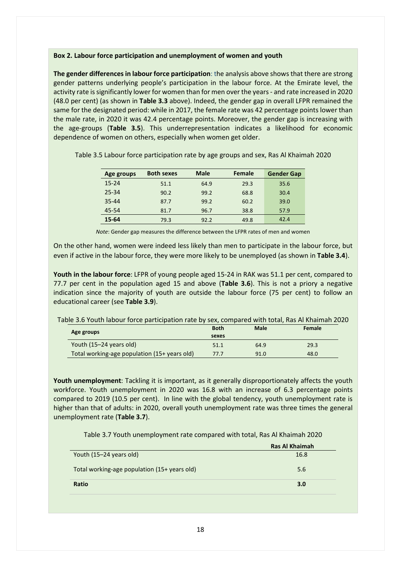#### **Box 2. Labour force participation and unemployment of women and youth**

**The gender differences in labour force participation**: the analysis above shows that there are strong gender patterns underlying people's participation in the labour force. At the Emirate level, the activity rate is significantly lower for women than for men over the years - and rate increased in 2020 (48.0 per cent) (as shown in **Table 3.3** above). Indeed, the gender gap in overall LFPR remained the same for the designated period: while in 2017, the female rate was 42 percentage points lower than the male rate, in 2020 it was 42.4 percentage points. Moreover, the gender gap is increasing with the age-groups (**Table 3.5**). This underrepresentation indicates a likelihood for economic dependence of women on others, especially when women get older.

| Age groups | <b>Both sexes</b> | <b>Male</b> | Female | <b>Gender Gap</b> |
|------------|-------------------|-------------|--------|-------------------|
| $15 - 24$  | 51.1              | 64.9        | 29.3   | 35.6              |
| 25-34      | 90.2              | 99.2        | 68.8   | 30.4              |
| $35 - 44$  | 87.7              | 99.2        | 60.2   | 39.0              |
| 45-54      | 81.7              | 96.7        | 38.8   | 57.9              |
| $15 - 64$  | 79.3              | 92.2        | 49.8   | 42.4              |

Table 3.5 Labour force participation rate by age groups and sex, Ras Al Khaimah 2020

*Note*: Gender gap measures the difference between the LFPR rates of men and women

On the other hand, women were indeed less likely than men to participate in the labour force, but even if active in the labour force, they were more likely to be unemployed (as shown in **Table 3.4**).

**Youth in the labour force**: LFPR of young people aged 15-24 in RAK was 51.1 per cent, compared to 77.7 per cent in the population aged 15 and above (**Table 3.6**). This is not a priory a negative indication since the majority of youth are outside the labour force (75 per cent) to follow an educational career (see **Table 3.9**).

Table 3.6 Youth labour force participation rate by sex, compared with total, Ras Al Khaimah 2020

|                                              | <b>Both</b> | Male | Female |
|----------------------------------------------|-------------|------|--------|
| Age groups                                   | sexes       |      |        |
| Youth (15–24 years old)                      | 51.1        | 64.9 | 29.3   |
| Total working-age population (15+ years old) | 77.7        | 91.0 | 48.0   |

**Youth unemployment**: Tackling it is important, as it generally disproportionately affects the youth workforce. Youth unemployment in 2020 was 16.8 with an increase of 6.3 percentage points compared to 2019 (10.5 per cent). In line with the global tendency, youth unemployment rate is higher than that of adults: in 2020, overall youth unemployment rate was three times the general unemployment rate (**Table 3.7**).

Table 3.7 Youth unemployment rate compared with total, Ras Al Khaimah 2020

|                                              | Ras Al Khaimah |
|----------------------------------------------|----------------|
| Youth (15–24 years old)                      | 16.8           |
| Total working-age population (15+ years old) | 5.6            |
| Ratio                                        | 3.0            |
|                                              |                |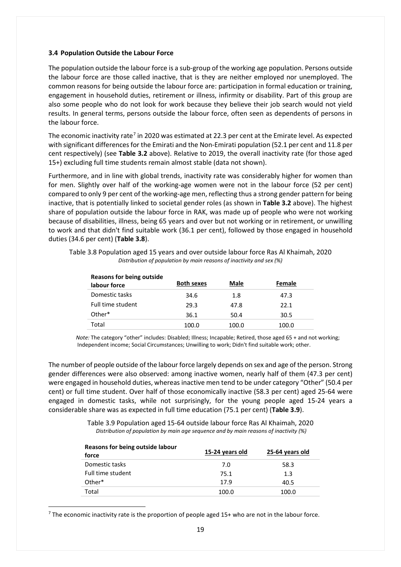#### <span id="page-20-0"></span>**3.4 Population Outside the Labour Force**

The population outside the labour force is a sub-group of the working age population. Persons outside the labour force are those called inactive, that is they are neither employed nor unemployed. The common reasons for being outside the labour force are: participation in formal education or training, engagement in household duties, retirement or illness, infirmity or disability. Part of this group are also some people who do not look for work because they believe their job search would not yield results. In general terms, persons outside the labour force, often seen as dependents of persons in the labour force.

The economic inactivity rate<sup>[7](#page-20-1)</sup> in 2020 was estimated at 22.3 per cent at the Emirate level. As expected with significant differences for the Emirati and the Non-Emirati population (52.1 per cent and 11.8 per cent respectively) (see **Table 3.2** above). Relative to 2019, the overall inactivity rate (for those aged 15+) excluding full time students remain almost stable (data not shown).

Furthermore, and in line with global trends, inactivity rate was considerably higher for women than for men. Slightly over half of the working-age women were not in the labour force (52 per cent) compared to only 9 per cent of the working-age men, reflecting thus a strong gender pattern for being inactive, that is potentially linked to societal gender roles (as shown in **Table 3.2** above). The highest share of population outside the labour force in RAK, was made up of people who were not working because of disabilities, illness, being 65 years and over but not working or in retirement, or unwilling to work and that didn't find suitable work (36.1 per cent), followed by those engaged in household duties (34.6 per cent) (**Table 3.8**).

| <b>Reasons for being outside</b><br>labour force | <b>Both sexes</b> | Male  | Female |
|--------------------------------------------------|-------------------|-------|--------|
| Domestic tasks                                   | 34.6              | 1.8   | 47.3   |
| Full time student                                | 29.3              | 47.8  | 22.1   |
| Other*                                           | 36.1              | 50.4  | 30.5   |
| Total                                            | 100.0             | 100.0 | 100.0  |

Table 3.8 Population aged 15 years and over outside labour force Ras Al Khaimah, 2020 *Distribution of population by main reasons of inactivity and sex (%)*

 *Note:* The category "other" includes: Disabled; Illness; Incapable; Retired, those aged 65 + and not working; Independent income; Social Circumstances; Unwilling to work; Didn't find suitable work; other.

The number of people outside of the labour force largely depends on sex and age of the person. Strong gender differences were also observed: among inactive women, nearly half of them (47.3 per cent) were engaged in household duties, whereas inactive men tend to be under category "Other" (50.4 per cent) or full time student. Over half of those economically inactive (58.3 per cent) aged 25-64 were engaged in domestic tasks, while not surprisingly, for the young people aged 15-24 years a considerable share was as expected in full time education (75.1 per cent) (**Table 3.9**).

> Table 3.9 Population aged 15-64 outside labour force Ras Al Khaimah, 2020 *Distribution of population by main age sequence and by main reasons of inactivity (%)*

| Reasons for being outside labour<br>force | 15-24 years old | 25-64 years old |
|-------------------------------------------|-----------------|-----------------|
| Domestic tasks                            | 7.0             | 58.3            |
| Full time student                         | 75.1            | 1.3             |
| Other*                                    | 17.9            | 40.5            |
| Total                                     | 100.0           | 100.0           |
|                                           |                 |                 |

<span id="page-20-1"></span> $<sup>7</sup>$  The economic inactivity rate is the proportion of people aged 15+ who are not in the labour force.</sup>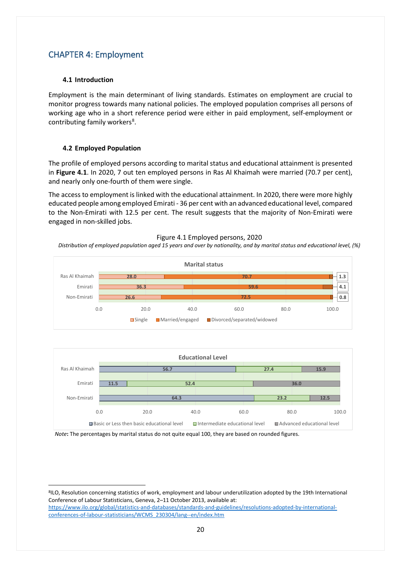## <span id="page-21-0"></span>CHAPTER 4: Employment

#### <span id="page-21-1"></span>**4.1 Introduction**

Employment is the main determinant of living standards. Estimates on employment are crucial to monitor progress towards many national policies. The employed population comprises all persons of working age who in a short reference period were either in paid employment, self-employment or contributing family workers<sup>[8](#page-21-3)</sup>.

#### <span id="page-21-2"></span>**4.2 Employed Population**

The profile of employed persons according to marital status and educational attainment is presented in **Figure 4.1**. In 2020, 7 out ten employed persons in Ras Al Khaimah were married (70.7 per cent), and nearly only one-fourth of them were single.

The access to employment is linked with the educational attainment. In 2020, there were more highly educated people among employed Emirati - 36 per cent with an advanced educational level, compared to the Non-Emirati with 12.5 per cent. The result suggests that the majority of Non-Emirati were engaged in non-skilled jobs.



*Distribution of employed population aged 15 years and over by nationality, and by marital status and educational level, (%)*





*Note***:** The percentages by marital status do not quite equal 100, they are based on rounded figures.

<span id="page-21-3"></span>8ILO, Resolution concerning statistics of work, employment and labour underutilization adopted by the 19th International Conference of Labour Statisticians, Geneva, 2–11 October 2013, available at:

[https://www.ilo.org/global/statistics-and-databases/standards-and-guidelines/resolutions-adopted-by-international](https://www.ilo.org/global/statistics-and-databases/standards-and-guidelines/resolutions-adopted-by-international-conferences-of-labour-statisticians/WCMS_230304/lang--en/index.htm)[conferences-of-labour-statisticians/WCMS\\_230304/lang--en/index.htm](https://www.ilo.org/global/statistics-and-databases/standards-and-guidelines/resolutions-adopted-by-international-conferences-of-labour-statisticians/WCMS_230304/lang--en/index.htm)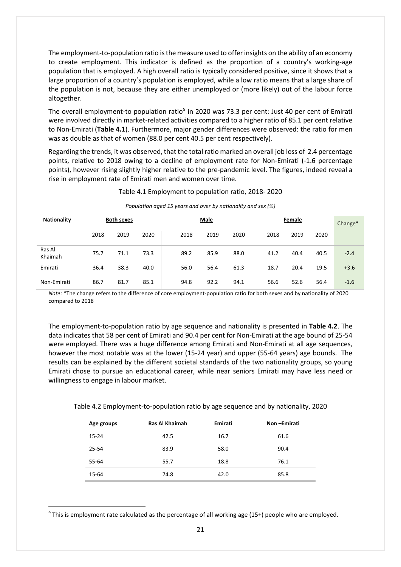The employment-to-population ratio is the measure used to offerinsights on the ability of an economy to create employment. This indicator is defined as the proportion of a country's working-age population that is employed. A high overall ratio is typically considered positive, since it shows that a large proportion of a country's population is employed, while a low ratio means that a large share of the population is not, because they are either unemployed or (more likely) out of the labour force altogether.

The overall employment-to population ratio $9$  in 2020 was 73.3 per cent: Just 40 per cent of Emirati were involved directly in market-related activities compared to a higher ratio of 85.1 per cent relative to Non-Emirati (**Table 4.1**). Furthermore, major gender differences were observed: the ratio for men was as double as that of women (88.0 per cent 40.5 per cent respectively).

Regarding the trends, it was observed, that the total ratio marked an overall job loss of 2.4 percentage points, relative to 2018 owing to a decline of employment rate for Non-Emirati (-1.6 percentage points), however rising slightly higher relative to the pre-pandemic level. The figures, indeed reveal a rise in employment rate of Emirati men and women over time.

#### Table 4.1 Employment to population ratio, 2018- 2020

| <b>Nationality</b> |      | <b>Both sexes</b> |      |      | Male |      |      | Female |      | Change* |
|--------------------|------|-------------------|------|------|------|------|------|--------|------|---------|
|                    | 2018 | 2019              | 2020 | 2018 | 2019 | 2020 | 2018 | 2019   | 2020 |         |
| Ras Al<br>Khaimah  | 75.7 | 71.1              | 73.3 | 89.2 | 85.9 | 88.0 | 41.2 | 40.4   | 40.5 | $-2.4$  |
| Emirati            | 36.4 | 38.3              | 40.0 | 56.0 | 56.4 | 61.3 | 18.7 | 20.4   | 19.5 | $+3.6$  |
| Non-Emirati        | 86.7 | 81.7              | 85.1 | 94.8 | 92.2 | 94.1 | 56.6 | 52.6   | 56.4 | $-1.6$  |

#### *Population aged 15 years and over by nationality and sex (%)*

*Note:* \*The change refers to the difference of core employment-population ratio for both sexes and by nationality of 2020 compared to 2018

The employment-to-population ratio by age sequence and nationality is presented in **Table 4.2**. The data indicates that 58 per cent of Emirati and 90.4 per cent for Non-Emirati at the age bound of 25-54 were employed. There was a huge difference among Emirati and Non-Emirati at all age sequences, however the most notable was at the lower (15-24 year) and upper (55-64 years) age bounds. The results can be explained by the different societal standards of the two nationality groups, so young Emirati chose to pursue an educational career, while near seniors Emirati may have less need or willingness to engage in labour market.

Table 4.2 Employment-to-population ratio by age sequence and by nationality, 2020

| Age groups | Ras Al Khaimah | Emirati | Non-Emirati |
|------------|----------------|---------|-------------|
| $15 - 24$  | 42.5           | 16.7    | 61.6        |
| 25-54      | 83.9           | 58.0    | 90.4        |
| 55-64      | 55.7           | 18.8    | 76.1        |
| 15-64      | 74.8           | 42.0    | 85.8        |

<span id="page-22-0"></span><sup>&</sup>lt;sup>9</sup> This is employment rate calculated as the percentage of all working age (15+) people who are employed.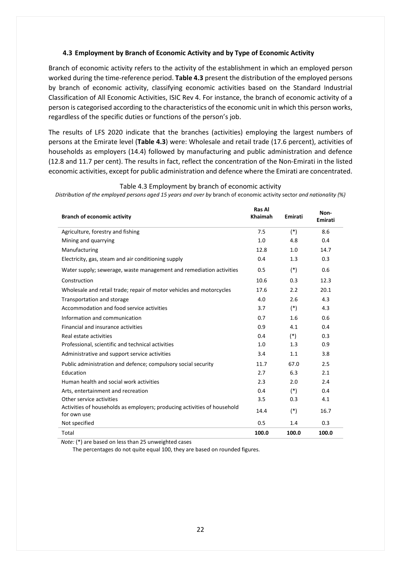#### <span id="page-23-0"></span>**4.3 Employment by Branch of Economic Activity and by Type of Economic Activity**

Branch of economic activity refers to the activity of the establishment in which an employed person worked during the time-reference period. **Table 4.3** present the distribution of the employed persons by branch of economic activity, classifying economic activities based on the Standard Industrial Classification of All Economic Activities, ISIC Rev 4. For instance, the branch of economic activity of a person is categorised according to the characteristics of the economic unit in which this person works, regardless of the specific duties or functions of the person's job.

The results of LFS 2020 indicate that the branches (activities) employing the largest numbers of persons at the Emirate level (**Table 4.3**) were: Wholesale and retail trade (17.6 percent), activities of households as employers (14.4) followed by manufacturing and public administration and defence (12.8 and 11.7 per cent). The results in fact, reflect the concentration of the Non-Emirati in the listed economic activities, except for public administration and defence where the Emirati are concentrated.

| <b>Branch of economic activity</b>                                                      | Ras Al<br>Khaimah | Emirati | Non-<br>Emirati |
|-----------------------------------------------------------------------------------------|-------------------|---------|-----------------|
| Agriculture, forestry and fishing                                                       | 7.5               | $(*)$   | 8.6             |
| Mining and quarrying                                                                    | 1.0               | 4.8     | 0.4             |
| Manufacturing                                                                           | 12.8              | 1.0     | 14.7            |
| Electricity, gas, steam and air conditioning supply                                     | 0.4               | 1.3     | 0.3             |
| Water supply; sewerage, waste management and remediation activities                     | 0.5               | $(*)$   | 0.6             |
| Construction                                                                            | 10.6              | 0.3     | 12.3            |
| Wholesale and retail trade; repair of motor vehicles and motorcycles                    | 17.6              | 2.2     | 20.1            |
| Transportation and storage                                                              | 4.0               | 2.6     | 4.3             |
| Accommodation and food service activities                                               | 3.7               | $(*)$   | 4.3             |
| Information and communication                                                           | 0.7               | 1.6     | 0.6             |
| Financial and insurance activities                                                      | 0.9               | 4.1     | 0.4             |
| Real estate activities                                                                  | 0.4               | $(*)$   | 0.3             |
| Professional, scientific and technical activities                                       | 1.0               | 1.3     | 0.9             |
| Administrative and support service activities                                           | 3.4               | 1.1     | 3.8             |
| Public administration and defence; compulsory social security                           | 11.7              | 67.0    | 2.5             |
| Education                                                                               | 2.7               | 6.3     | 2.1             |
| Human health and social work activities                                                 | 2.3               | 2.0     | 2.4             |
| Arts, entertainment and recreation                                                      | 0.4               | $(*)$   | 0.4             |
| Other service activities                                                                | 3.5               | 0.3     | 4.1             |
| Activities of households as employers; producing activities of household<br>for own use | 14.4              | $(*)$   | 16.7            |
| Not specified                                                                           | 0.5               | 1.4     | 0.3             |
| Total                                                                                   | 100.0             | 100.0   | 100.0           |

Table 4.3 Employment by branch of economic activity

*Distribution of the employed persons aged 15 years and over by* branch of economic activity sector *and nationality (%)*

 *Note:* (\*) are based on less than 25 unweighted cases

The percentages do not quite equal 100, they are based on rounded figures.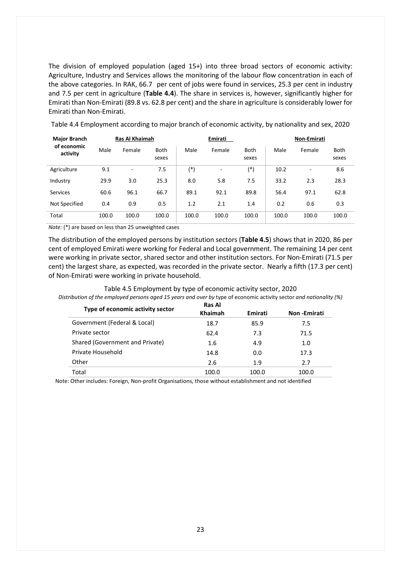The division of employed population (aged 15+) into three broad sectors of economic activity: Agriculture, Industry and Services allows the monitoring of the labour flow concentration in each of the above categories. In RAK, 66.7 per cent of jobs were found in services, 25.3 per cent in industry and 7.5 per cent in agriculture (**Table 4.4**). The share in services is, however, significantly higher for Emirati than Non-Emirati (89.8 vs. 62.8 per cent) and the share in agriculture is considerably lower for Emirati than Non-Emirati.

| <b>Major Branch</b>     | Ras Al Khaimah |        |               | Emirati |                          | Non-Emirati          |       |        |               |
|-------------------------|----------------|--------|---------------|---------|--------------------------|----------------------|-------|--------|---------------|
| of economic<br>activity | Male           | Female | Both<br>sexes | Male    | Female                   | <b>Both</b><br>sexes | Male  | Female | Both<br>sexes |
| Agriculture             | 9.1            | ۰      | 7.5           | (*)     | $\overline{\phantom{a}}$ | $(*)$                | 10.2  | ٠      | 8.6           |
| Industry                | 29.9           | 3.0    | 25.3          | 8.0     | 5.8                      | 7.5                  | 33.2  | 2.3    | 28.3          |
| Services                | 60.6           | 96.1   | 66.7          | 89.1    | 92.1                     | 89.8                 | 56.4  | 97.1   | 62.8          |
| Not Specified           | 0.4            | 0.9    | 0.5           | 1.2     | 2.1                      | 1.4                  | 0.2   | 0.6    | 0.3           |
| Total                   | 100.0          | 100.0  | 100.0         | 100.0   | 100.0                    | 100.0                | 100.0 | 100.0  | 100.0         |

Table 4.4 Employment according to major branch of economic activity, by nationality and sex, 2020

*Note:* (\*) are based on less than 25 unweighted cases

The distribution of the employed persons by institution sectors (**Table 4.5**) shows that in 2020, 86 per cent of employed Emirati were working for Federal and Local government. The remaining 14 per cent were working in private sector, shared sector and other institution sectors. For Non-Emirati (71.5 per cent) the largest share, as expected, was recorded in the private sector. Nearly a fifth (17.3 per cent) of Non-Emirati were working in private household.

#### Table 4.5 Employment by type of economic activity sector, 2020 *Distribution of the employed persons aged 15 years and over by* type of economic activity sector *and nationality (%)*

| Type of economic activity sector | <b>Ras Al</b><br>Khaimah | Emirati | <b>Non-Emirati</b> |  |
|----------------------------------|--------------------------|---------|--------------------|--|
| Government (Federal & Local)     | 18.7                     | 85.9    | 7.5                |  |
| Private sector                   | 62.4                     | 7.3     | 71.5               |  |
| Shared (Government and Private)  | 1.6                      | 4.9     | 1.0                |  |
| Private Household                | 14.8                     | 0.0     | 17.3               |  |
| Other                            | 2.6                      | 1.9     | 2.7                |  |
| Total                            | 100.0                    | 100.0   | 100.0              |  |

Note: Other includes: Foreign, Non-profit Organisations, those without establishment and not identified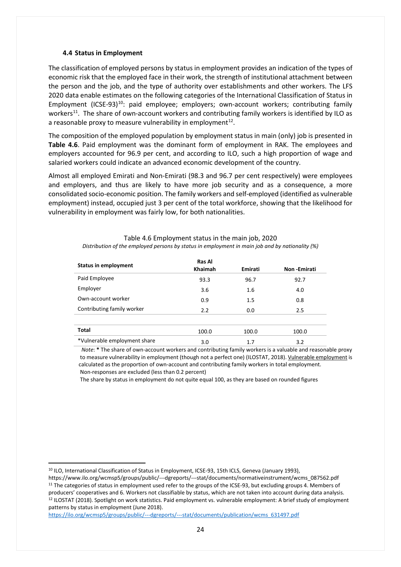#### <span id="page-25-0"></span>**4.4 Status in Employment**

The classification of employed persons by status in employment provides an indication of the types of economic risk that the employed face in their work, the strength of institutional attachment between the person and the job, and the type of authority over establishments and other workers. The LFS 2020 data enable estimates on the following categories of the International Classification of Status in Employment (ICSE-93)<sup>10</sup>: paid employee; employers; own-account workers; contributing family workers<sup>11</sup>. The share of own-account workers and contributing family workers is identified by ILO as a reasonable proxy to measure vulnerability in employment $^{12}$  $^{12}$  $^{12}$ .

The composition of the employed population by employment status in main (only) job is presented in **Table 4.6**. Paid employment was the dominant form of employment in RAK. The employees and employers accounted for 96.9 per cent, and according to ILO, such a high proportion of wage and salaried workers could indicate an advanced economic development of the country.

Almost all employed Emirati and Non-Emirati (98.3 and 96.7 per cent respectively) were employees and employers, and thus are likely to have more job security and as a consequence, a more consolidated socio-economic position. The family workers and self-employed (identified as vulnerable employment) instead, occupied just 3 per cent of the total workforce, showing that the likelihood for vulnerability in employment was fairly low, for both nationalities.

| <b>Status in employment</b>  | Ras Al<br><b>Khaimah</b> | Emirati | Non-Emirati |
|------------------------------|--------------------------|---------|-------------|
| Paid Employee                | 93.3                     | 96.7    | 92.7        |
| Employer                     | 3.6                      | 1.6     | 4.0         |
| Own-account worker           | 0.9                      | 1.5     | 0.8         |
| Contributing family worker   | 2.2                      | 0.0     | 2.5         |
|                              |                          |         |             |
| <b>Total</b>                 | 100.0                    | 100.0   | 100.0       |
| *Vulnerable employment share | 3.0                      | 1.7     | 3.2         |

Table 4.6 Employment status in the main job, 2020 *Distribution of the employed persons by status in employment in main job and by nationality (%)*

 *Note*: **\*** The share of own-account workers and contributing family workers is a valuable and reasonable proxy to measure vulnerability in employment (though not a perfect one) (ILOSTAT, 2018). Vulnerable employment is calculated as the proportion of own-account and contributing family workers in total employment. Non-responses are excluded (less than 0.2 percent)

The share by status in employment do not quite equal 100, as they are based on rounded figures

<span id="page-25-3"></span>[https://ilo.org/wcmsp5/groups/public/---dgreports/---stat/documents/publication/wcms\\_631497.pdf](https://ilo.org/wcmsp5/groups/public/---dgreports/---stat/documents/publication/wcms_631497.pdf)

<span id="page-25-1"></span><sup>10</sup> ILO, International Classification of Status in Employment, ICSE-93, 15th ICLS, Geneva (January 1993),

<span id="page-25-2"></span>https://www.ilo.org/wcmsp5/groups/public/---dgreports/---stat/documents/normativeinstrument/wcms\_087562.pdf <sup>11</sup> The categories of status in employment used refer to the groups of the ICSE-93, but excluding groups 4. Members of producers' cooperatives and 6. Workers not classifiable by status, which are not taken into account during data analysis. <sup>12</sup> ILOSTAT (2018). Spotlight on work statistics. Paid employment vs. vulnerable employment: A brief study of employment patterns by status in employment (June 2018).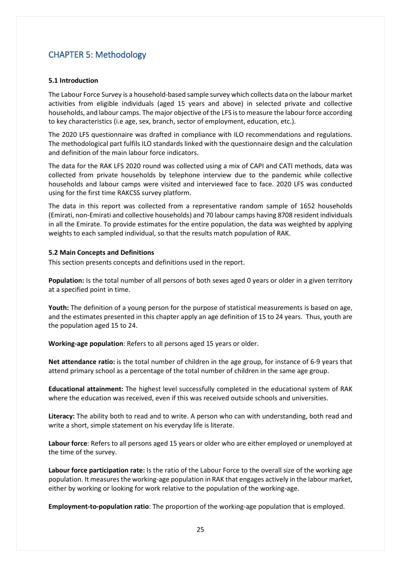## <span id="page-26-0"></span>CHAPTER 5: Methodology

#### <span id="page-26-1"></span>**5.1 Introduction**

The Labour Force Survey is a household-based sample survey which collects data on the labour market activities from eligible individuals (aged 15 years and above) in selected private and collective households, and labour camps. The major objective of the LFS is to measure the labour force according to key characteristics (i.e age, sex, branch, sector of employment, education, etc.).

The 2020 LFS questionnaire was drafted in compliance with ILO recommendations and regulations. The methodological part fulfils ILO standards linked with the questionnaire design and the calculation and definition of the main labour force indicators.

The data for the RAK LFS 2020 round was collected using a mix of CAPI and CATI methods, data was collected from private households by telephone interview due to the pandemic while collective households and labour camps were visited and interviewed face to face. 2020 LFS was conducted using for the first time RAKCSS survey platform.

The data in this report was collected from a representative random sample of 1652 households (Emirati, non-Emirati and collective households) and 70 labour camps having 8708 resident individuals in all the Emirate. To provide estimates for the entire population, the data was weighted by applying weights to each sampled individual, so that the results match population of RAK.

#### <span id="page-26-2"></span>**5.2 Main Concepts and Definitions**

This section presents concepts and definitions used in the report.

**Population:** Is the total number of all persons of both sexes aged 0 years or older in a given territory at a specified point in time.

**Youth:** The definition of a young person for the purpose of statistical measurements is based on age, and the estimates presented in this chapter apply an age definition of 15 to 24 years. Thus, youth are the population aged 15 to 24.

**Working-age population**: Refers to all persons aged 15 years or older.

**Net attendance ratio:** is the total number of children in the age group, for instance of 6-9 years that attend primary school as a percentage of the total number of children in the same age group.

**Educational attainment:** The highest level successfully completed in the educational system of RAK where the education was received, even if this was received outside schools and universities.

**Literacy:** The ability both to read and to write. A person who can with understanding, both read and write a short, simple statement on his everyday life is literate.

**Labour force**: Refers to all persons aged 15 years or older who are either employed or unemployed at the time of the survey.

**Labour force participation rate:** Is the ratio of the Labour Force to the overall size of the working age population. It measures the working-age population in RAK that engages actively in the labour market, either by working or looking for work relative to the population of the working-age.

**Employment-to-population ratio**: The proportion of the working-age population that is employed.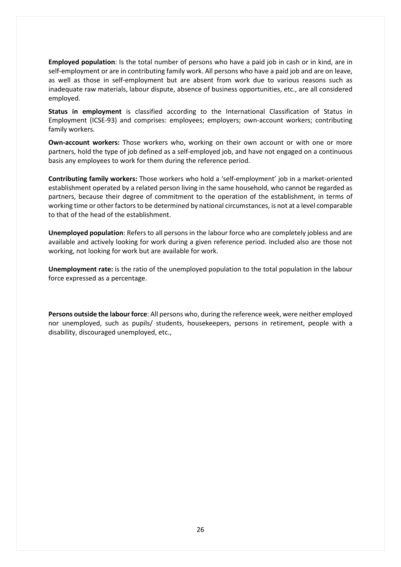**Employed population**: Is the total number of persons who have a paid job in cash or in kind, are in self-employment or are in contributing family work. All persons who have a paid job and are on leave, as well as those in self-employment but are absent from work due to various reasons such as inadequate raw materials, labour dispute, absence of business opportunities, etc., are all considered employed.

**Status in employment** is classified according to the International Classification of Status in Employment (ICSE-93) and comprises: employees; employers; own-account workers; contributing family workers.

**Own-account workers:** Those workers who, working on their own account or with one or more partners, hold the type of job defined as a self-employed job, and have not engaged on a continuous basis any employees to work for them during the reference period.

**Contributing family workers:** Those workers who hold a 'self-employment' job in a market-oriented establishment operated by a related person living in the same household, who cannot be regarded as partners, because their degree of commitment to the operation of the establishment, in terms of working time or other factors to be determined by national circumstances, is not at a level comparable to that of the head of the establishment.

**Unemployed population**: Refers to all persons in the labour force who are completely jobless and are available and actively looking for work during a given reference period. Included also are those not working, not looking for work but are available for work.

**Unemployment rate:** is the ratio of the unemployed population to the total population in the labour force expressed as a percentage.

**Persons outside the labour force**: All persons who, during the reference week, were neither employed nor unemployed, such as pupils/ students, housekeepers, persons in retirement, people with a disability, discouraged unemployed, etc.,